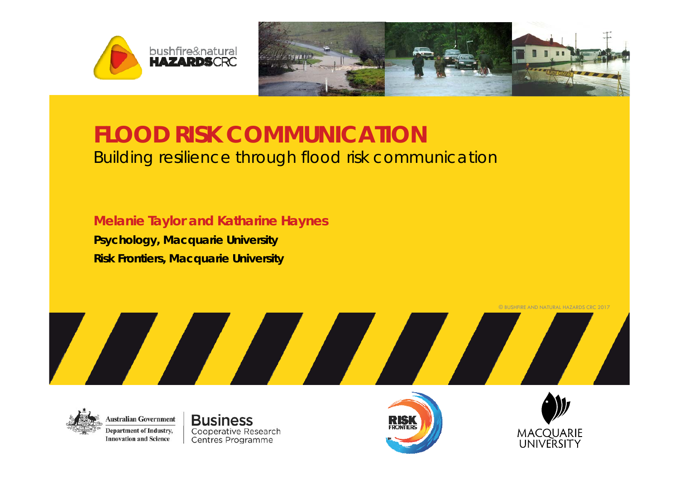



#### **FLOOD RISK COMMUNICATION** Building resilience through flood risk communication

**Melanie Taylor and Katharine Haynes**

**Psychology, Macquarie University Risk Frontiers, Macquarie University**



**Business** Cooperative Research Centres Programme





© BUSHFIRE AND NATURAL HAZARDS CRC 2017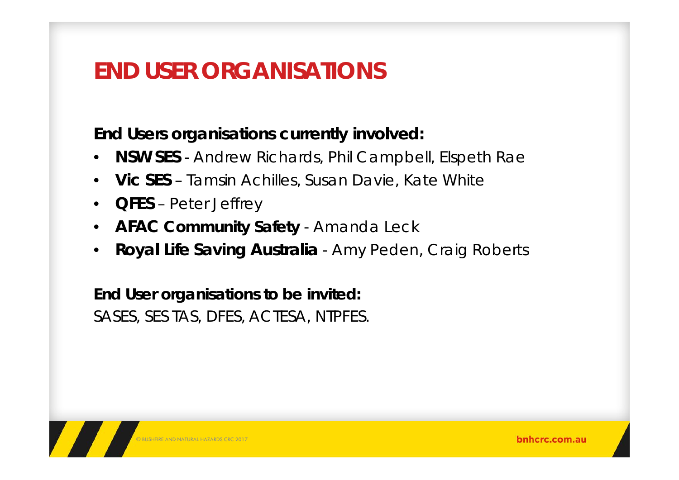# **END USER ORGANISATIONS**

#### **End Users organisations currently involved:**

- $\bullet$ **NSW SES** - Andrew Richards, Phil Campbell, Elspeth Rae
- $\bullet$ **Vic SES** – Tamsin Achilles, Susan Davie, Kate White
- $\bullet$ **QFES** – Peter Jeffrey
- $\bullet$ **AFAC Community Safety** - Amanda Leck
- •**Royal Life Saving Australia** - Amy Peden, Craig Roberts

**End User organisations to be invited:** SASES, SES TAS, DFES, ACTESA, NTPFES.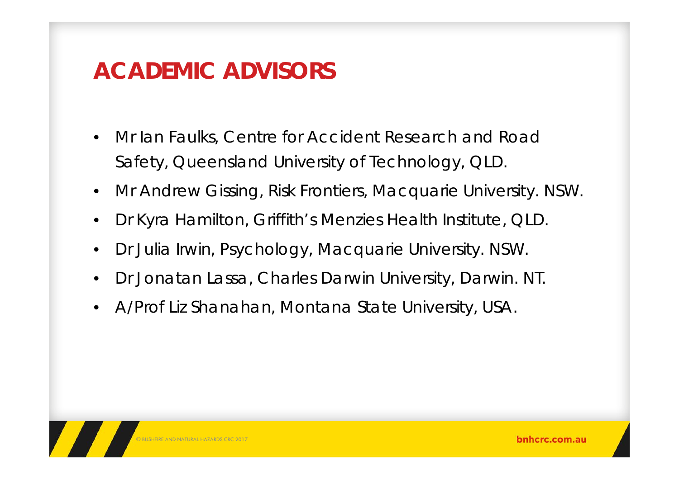## **ACADEMIC ADVISORS**

- • Mr Ian Faulks, Centre for Accident Research and Road Safety, Queensland University of Technology, QLD.
- •Mr Andrew Gissing, Risk Frontiers, Macquarie University. NSW.
- •Dr Kyra Hamilton, Griffith's Menzies Health Institute, QLD.
- •Dr Julia Irwin, Psychology, Macquarie University. NSW.
- •Dr Jonatan Lassa, Charles Darwin University, Darwin. NT.
- •A/Prof Liz Shanahan, Montana State University, USA.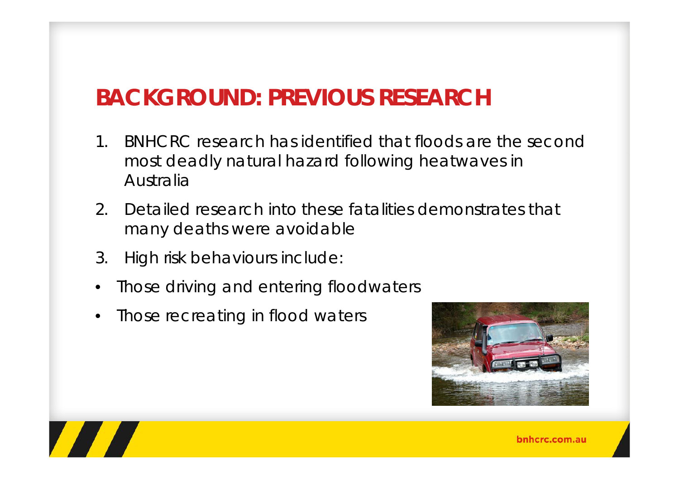# **BACKGROUND: PREVIOUS RESEARCH**

- 1. BNHCRC research has identified that floods are the second most deadly natural hazard following heatwaves in Australia
- 2. Detailed research into these fatalities demonstrates that many deaths were avoidable
- 3. High risk behaviours include:
- $\bullet$ Those driving and entering floodwaters
- •Those recreating in flood waters



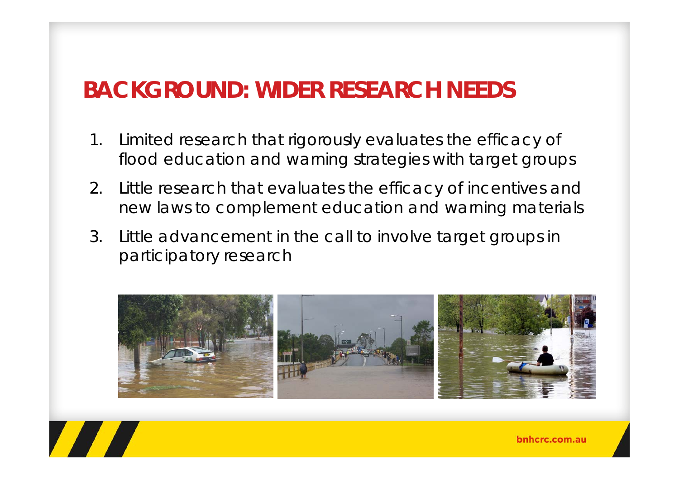# **BACKGROUND: WIDER RESEARCH NEEDS**

- 1. Limited research that rigorously evaluates the efficacy of flood education and warning strategies with target groups
- 2. Little research that evaluates the efficacy of incentives and new laws to complement education and warning materials
- 3. Little advancement in the call to involve target groups in participatory research

**TANA** 

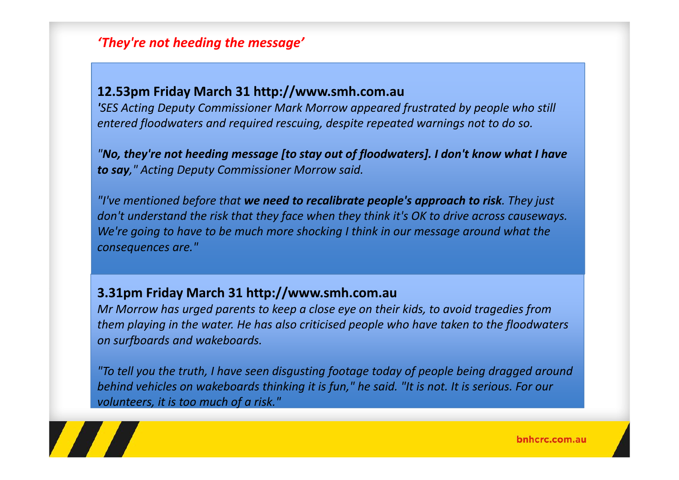#### *'They're not heeding the message'*

#### **12.53pm Friday March 31 http://www.smh.com.au**

*'SES Acting Deputy Commissioner Mark Morrow appeared frustrated by people who still entered floodwaters and required rescuing, despite repeated warnings not to do so.*

*"No, they're not heeding message [to stay out of floodwaters]. I don't know what I have to say," Acting Deputy Commissioner Morrow said.*

*"I've mentioned before that we need to recalibrate people's approach to risk. They just don't understand the risk that they face when they think it's OK to drive across causeways. We're going to have to be much more shocking I think in our message around what the consequences are."*

#### **3.31pm Friday March 31 http://www.smh.com.au**

*Mr Morrow has urged parents to keep <sup>a</sup> close eye on their kids, to avoid tragedies from them playing in the water. He has also criticised people who have taken to the floodwaters on surfboards and wakeboards.*

*"To tell you the truth, I have seen disgusting footage today of people being dragged around* behind vehicles on wakeboards thinking it is fun," he said. "It is not. It is serious. For our *volunteers, it is too much of <sup>a</sup> risk."*

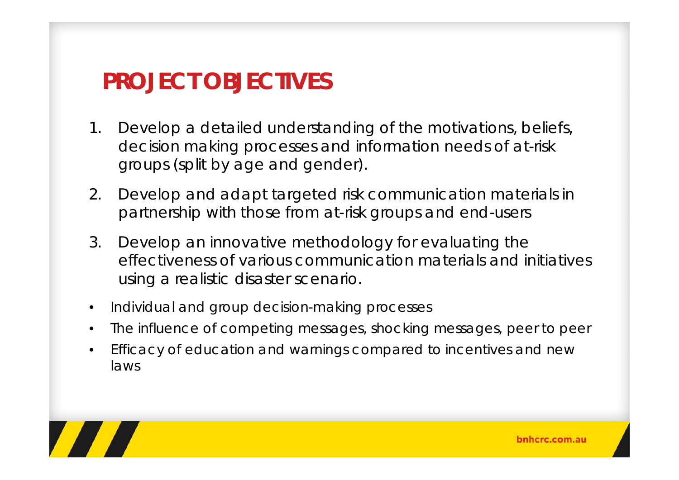### **PROJECT OBJECTIVES**

- 1. Develop a detailed understanding of the motivations, beliefs, decision making processes and information needs of at-risk groups (split by age and gender).
- 2. Develop and adapt targeted risk communication materials in partnership with those from at-risk groups and end-users
- 3. Develop an innovative methodology for evaluating the effectiveness of various communication materials and initiatives using a realistic disaster scenario.
- •Individual and group decision-making processes
- •The influence of competing messages, shocking messages, peer to peer
- • Efficacy of education and warnings compared to incentives and new laws

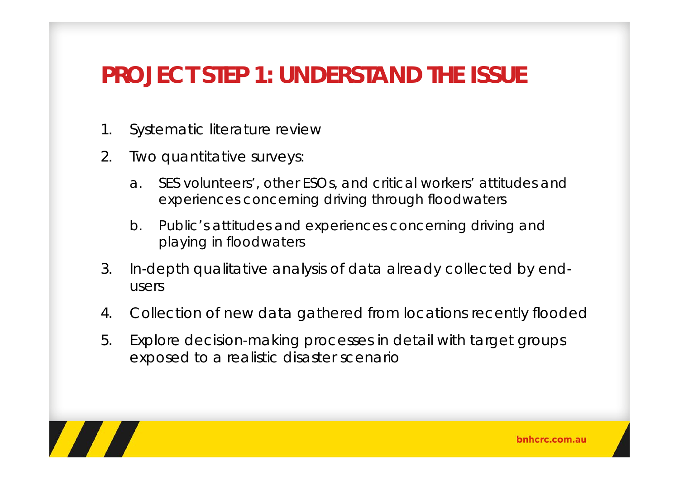## **PROJECT STEP 1: UNDERSTAND THE ISSUE**

- 1. Systematic literature review
- 2. Two quantitative surveys:
	- a. SES volunteers', other ESOs, and critical workers' attitudes and experiences concerning driving through floodwaters
	- b. Public's attitudes and experiences concerning driving and playing in floodwaters
- 3. In-depth qualitative analysis of data already collected by endusers
- 4. Collection of new data gathered from locations recently flooded
- 5. Explore decision-making processes in detail with target groups exposed to a realistic disaster scenario

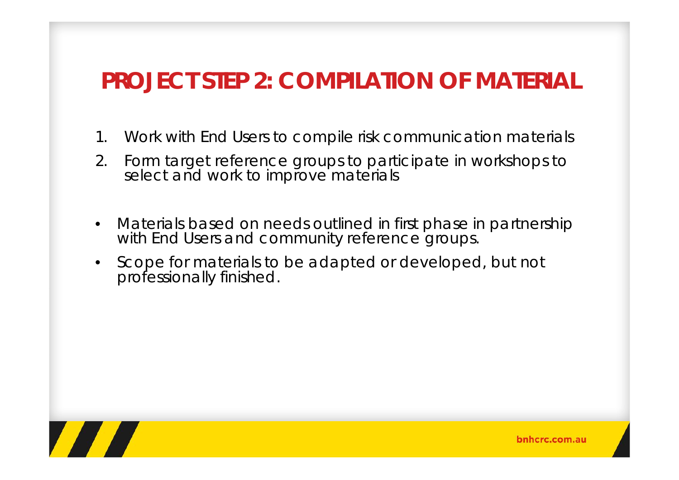# **PROJECT STEP 2: COMPILATION OF MATERIAL**

- 1. Work with End Users to compile risk communication materials
- 2. Form target reference groups to participate in workshops to select and work to improve materials
- • Materials based on needs outlined in first phase in partnership with End Users and community reference groups.
- • Scope for materials to be adapted or developed, but not professionally finished.

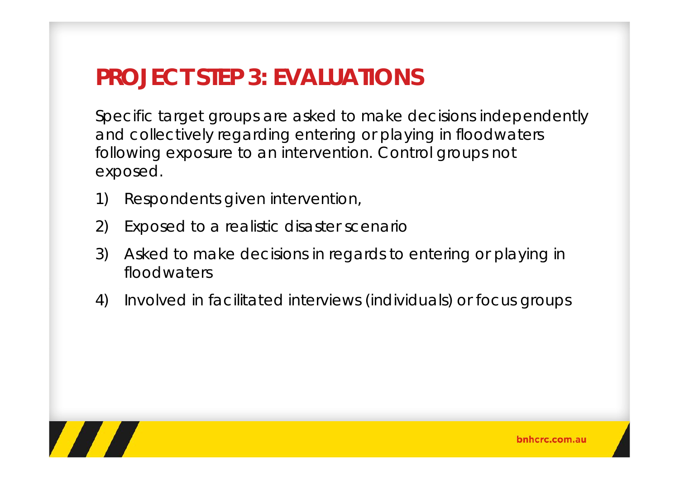# **PROJECT STEP 3: EVALUATIONS**

Specific target groups are asked to make decisions independently and collectively regarding entering or playing in floodwaters following exposure to an intervention. Control groups not exposed.

- 1) Respondents given intervention,
- 2) Exposed to a realistic disaster scenario
- 3) Asked to make decisions in regards to entering or playing in floodwaters
- 4) Involved in facilitated interviews (individuals) or focus groups

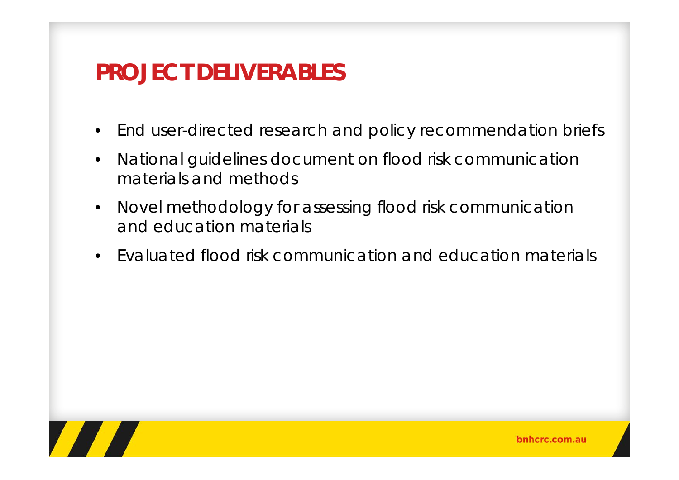# **PROJECT DELIVERABLES**

- $\bullet$ End user-directed research and policy recommendation briefs
- $\bullet$  National guidelines document on flood risk communication materials and methods
- • Novel methodology for assessing flood risk communication and education materials
- •Evaluated flood risk communication and education materials

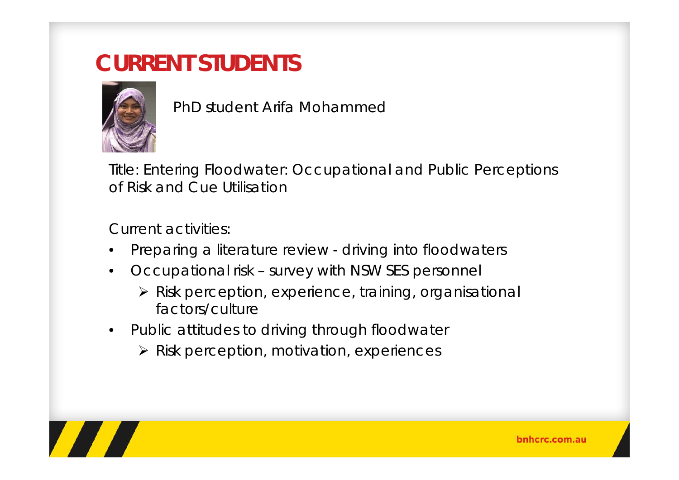## **CURRENT STUDENTS**



PhD student Arifa Mohammed

Title: Entering Floodwater: Occupational and Public Perceptions of Risk and Cue Utilisation

Current activities:

- •Preparing a literature review - driving into floodwaters
- • Occupational risk – survey with NSW SES personnel
	- Risk perception, experience, training, organisational factors/culture
- • Public attitudes to driving through floodwater
	- Risk perception, motivation, experiences

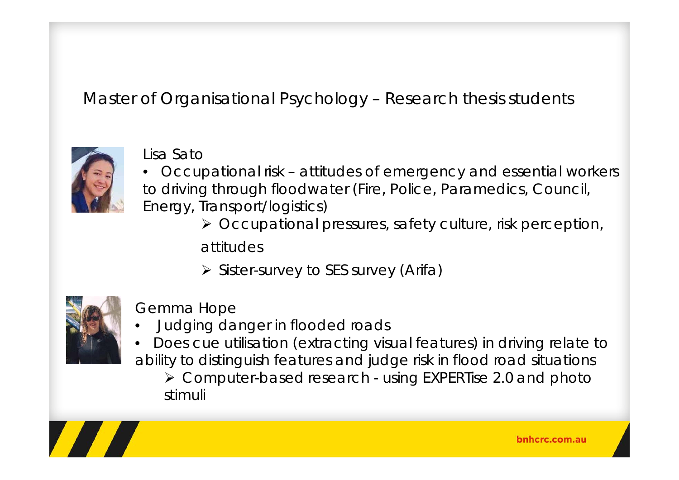Master of Organisational Psychology – Research thesis students



#### Lisa Sato

- Occupational risk attitudes of emergency and essential workers to driving through floodwater (Fire, Police, Paramedics, Council, Energy, Transport/logistics)
	- Occupational pressures, safety culture, risk perception,

attitudes

**≻** Sister-survey to SES survey (Arifa)



#### Gemma Hope

- •Judging danger in flooded roads
- • Does cue utilisation (extracting visual features) in driving relate to ability to distinguish features and judge risk in flood road situations

 Computer-based research - using EXPERTise 2.0 and photo stimuli